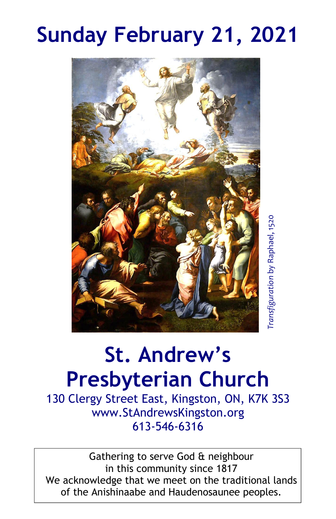# **Sunday February 21, 2021**



# **St. Andrew's Presbyterian Church**

130 Clergy Street East, Kingston, ON, K7K 3S3 www.StAndrewsKingston.org 613-546-6316

Gathering to serve God & neighbour in this community since 1817 We acknowledge that we meet on the traditional lands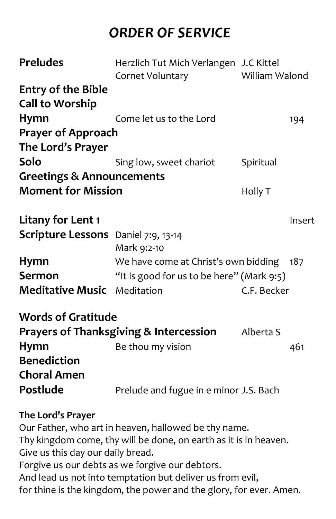# *ORDER OF SERVICE*

| <b>Preludes</b>                                                | Herzlich Tut Mich Verlangen J.C Kittel      | William Walond |        |  |  |
|----------------------------------------------------------------|---------------------------------------------|----------------|--------|--|--|
|                                                                | Cornet Voluntary                            |                |        |  |  |
| <b>Entry of the Bible</b>                                      |                                             |                |        |  |  |
| <b>Call to Worship</b>                                         |                                             |                |        |  |  |
| <b>Hymn</b>                                                    | Come let us to the Lord                     |                | 194    |  |  |
| <b>Prayer of Approach</b>                                      |                                             |                |        |  |  |
| The Lord's Prayer                                              |                                             |                |        |  |  |
| Solo                                                           | Sing low, sweet chariot                     | Spiritual      |        |  |  |
| <b>Greetings &amp; Announcements</b>                           |                                             |                |        |  |  |
| <b>Moment for Mission</b>                                      |                                             | Holly T        |        |  |  |
|                                                                |                                             |                |        |  |  |
| <b>Litany for Lent 1</b>                                       |                                             |                | Insert |  |  |
| <b>Scripture Lessons</b> Daniel 7:9, 13-14                     | Mark 9:2-10                                 |                |        |  |  |
| <b>Hymn</b>                                                    | We have come at Christ's own bidding<br>187 |                |        |  |  |
| Sermon                                                         | "It is good for us to be here" (Mark 9:5)   |                |        |  |  |
| <b>Meditative Music</b>                                        | Meditation                                  | C.F. Becker    |        |  |  |
| <b>Words of Gratitude</b>                                      |                                             |                |        |  |  |
| <b>Prayers of Thanksgiving &amp; Intercession</b><br>Alberta S |                                             |                |        |  |  |
| <b>Hymn</b>                                                    | Be thou my vision                           |                | 461    |  |  |
| <b>Benediction</b>                                             |                                             |                |        |  |  |
|                                                                |                                             |                |        |  |  |
| <b>Choral Amen</b>                                             |                                             |                |        |  |  |
| Postlude                                                       | Prelude and fugue in e minor J.S. Bach      |                |        |  |  |
| The Lord's Prayer                                              |                                             |                |        |  |  |
| Our Father, who art in heaven, hallowed be thy name.           |                                             |                |        |  |  |
| Thy kingdom came thy will be done on earth as it is in heaven  |                                             |                |        |  |  |

Thy kingdom come, thy will be done, on earth as it is in heaven. Give us this day our daily bread. Forgive us our debts as we forgive our debtors. And lead us not into temptation but deliver us from evil, for thine is the kingdom, the power and the glory, for ever. Amen.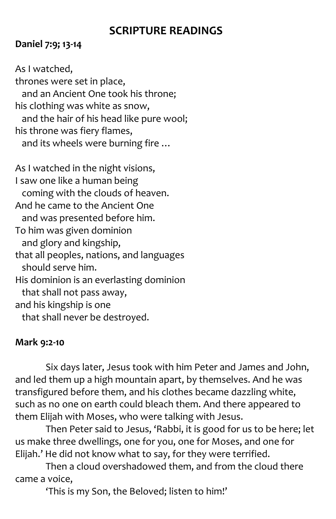## **SCRIPTURE READINGS**

#### **Daniel 7:9; 13-14**

As I watched, thrones were set in place, and an Ancient One took his throne; his clothing was white as snow, and the hair of his head like pure wool; his throne was fiery flames, and its wheels were burning fire …

As I watched in the night visions, I saw one like a human being coming with the clouds of heaven. And he came to the Ancient One and was presented before him. To him was given dominion and glory and kingship, that all peoples, nations, and languages should serve him. His dominion is an everlasting dominion that shall not pass away, and his kingship is one that shall never be destroyed.

#### **Mark 9:2-10**

Six days later, Jesus took with him Peter and James and John, and led them up a high mountain apart, by themselves. And he was transfigured before them, and his clothes became dazzling white, such as no one on earth could bleach them. And there appeared to them Elijah with Moses, who were talking with Jesus.

Then Peter said to Jesus, 'Rabbi, it is good for us to be here; let us make three dwellings, one for you, one for Moses, and one for Elijah.' He did not know what to say, for they were terrified.

Then a cloud overshadowed them, and from the cloud there came a voice,

'This is my Son, the Beloved; listen to him!'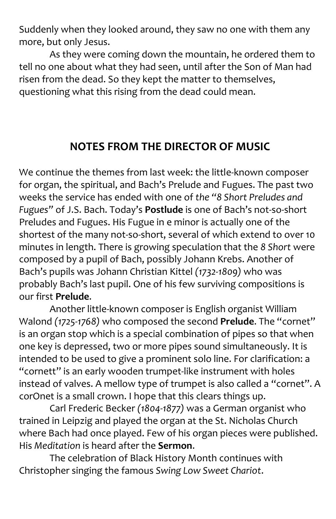Suddenly when they looked around, they saw no one with them any more, but only Jesus.

As they were coming down the mountain, he ordered them to tell no one about what they had seen, until after the Son of Man had risen from the dead. So they kept the matter to themselves, questioning what this rising from the dead could mean.

## **NOTES FROM THE DIRECTOR OF MUSIC**

We continue the themes from last week: the little-known composer for organ, the spiritual, and Bach's Prelude and Fugues. The past two weeks the service has ended with one of *the "8 Short Preludes and Fugues"* of J.S. Bach. Today's **Postlude** is one of Bach's not-so-short Preludes and Fugues. His Fugue in e minor is actually one of the shortest of the many not-so-short, several of which extend to over 10 minutes in length. There is growing speculation that the *8 Short* were composed by a pupil of Bach, possibly Johann Krebs. Another of Bach's pupils was Johann Christian Kittel *(1732-1809)* who was probably Bach's last pupil. One of his few surviving compositions is our first **Prelude**.

Another little-known composer is English organist William Walond *(1725-1768)* who composed the second **Prelude**. The "cornet" is an organ stop which is a special combination of pipes so that when one key is depressed, two or more pipes sound simultaneously. It is intended to be used to give a prominent solo line. For clarification: a "cornett" is an early wooden trumpet-like instrument with holes instead of valves. A mellow type of trumpet is also called a "cornet". A corOnet is a small crown. I hope that this clears things up.

Carl Frederic Becker *(1804-1877)* was a German organist who trained in Leipzig and played the organ at the St. Nicholas Church where Bach had once played. Few of his organ pieces were published. His *Meditation* is heard after the **Sermon**.

The celebration of Black History Month continues with Christopher singing the famous *Swing Low Sweet Chariot*.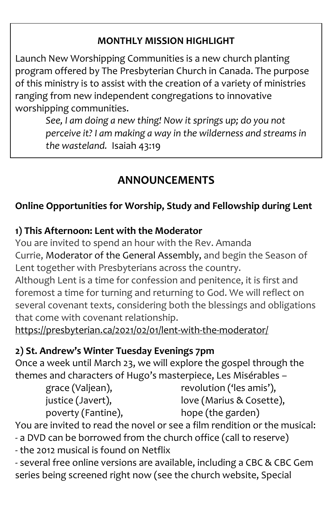#### **MONTHLY MISSION HIGHLIGHT**

Launch New Worshipping Communities is a new church planting program offered by The Presbyterian Church in Canada. The purpose of this ministry is to assist with the creation of a variety of ministries ranging from new independent congregations to innovative worshipping communities.

*See, I am doing a new thing! Now it springs up; do you not perceive it? I am making a way in the wilderness and streams in the wasteland.* Isaiah 43:19

## **ANNOUNCEMENTS**

#### **Online Opportunities for Worship, Study and Fellowship during Lent**

#### **1) This Afternoon: Lent with the Moderator**

You are invited to spend an hour with the Rev. Amanda Currie, [Moderator of the General Assembly,](https://presbyterian.ca/gao/moderator/) and begin the Season of Lent together with Presbyterians across the country.

Although Lent is a time for confession and penitence, it is first and foremost a time for turning and returning to God. We will reflect on several covenant texts, considering both the blessings and obligations that come with covenant relationship.

<https://presbyterian.ca/2021/02/01/lent-with-the-moderator/>

#### **2) St. Andrew's Winter Tuesday Evenings 7pm**

Once a week until March 23, we will explore the gospel through the themes and characters of Hugo's masterpiece, Les Misérables –

| grace (Valjean),   | revolution ('les amis'), |
|--------------------|--------------------------|
| justice (Javert),  | love (Marius & Cosette), |
| poverty (Fantine), | hope (the garden)        |

You are invited to read the novel or see a film rendition or the musical:

- a DVD can be borrowed from the church office (call to reserve)
- the 2012 musical is found on Netflix

- several free online versions are available, including a CBC & CBC Gem series being screened right now (see the church website, Special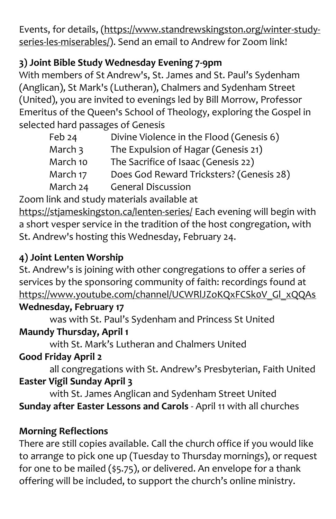Events, for details, [\(https://www.standrewskingston.org/winter-study](https://www.standrewskingston.org/winter-study-series-les-miserables/)[series-les-miserables/\)](https://www.standrewskingston.org/winter-study-series-les-miserables/). Send an email to Andrew for Zoom link!

#### **3) Joint Bible Study Wednesday Evening 7-9pm**

With members of St Andrew's, St. James and St. Paul's Sydenham (Anglican), St Mark's (Lutheran), Chalmers and Sydenham Street (United), you are invited to evenings led by Bill Morrow, Professor Emeritus of the Queen's School of Theology, exploring the Gospel in selected hard passages of Genesis

| Feb 24   | Divine Violence in the Flood (Genesis 6) |
|----------|------------------------------------------|
| March 3  | The Expulsion of Hagar (Genesis 21)      |
| March 10 | The Sacrifice of Isaac (Genesis 22)      |
| March 17 | Does God Reward Tricksters? (Genesis 28) |
| March 24 | <b>General Discussion</b>                |

Zoom link and study materials available at

<https://stjameskingston.ca/lenten-series/> Each evening will begin with a short vesper service in the tradition of the host congregation, with St. Andrew's hosting this Wednesday, February 24.

### **4) Joint Lenten Worship**

St. Andrew's is joining with other congregations to offer a series of services by the sponsoring community of faith: recordings found at [https://www.youtube.com/channel/UCWRlJZoKQxFCSk0V\\_Gl\\_xQQAs](https://www.youtube.com/channel/UCWRlJZoKQxFCSk0V_Gl_xQQAs)

#### **Wednesday, February 17**

was with St. Paul's Sydenham and Princess St United

## **Maundy Thursday, April 1**

with St. Mark's Lutheran and Chalmers United

#### **Good Friday April 2**

all congregations with St. Andrew's Presbyterian, Faith United **Easter Vigil Sunday April 3**

with St. James Anglican and Sydenham Street United **Sunday after Easter Lessons and Carols** - April 11 with all churches

## **Morning Reflections**

There are still copies available. Call the church office if you would like to arrange to pick one up (Tuesday to Thursday mornings), or request for one to be mailed (\$5.75), or delivered. An envelope for a thank offering will be included, to support the church's online ministry.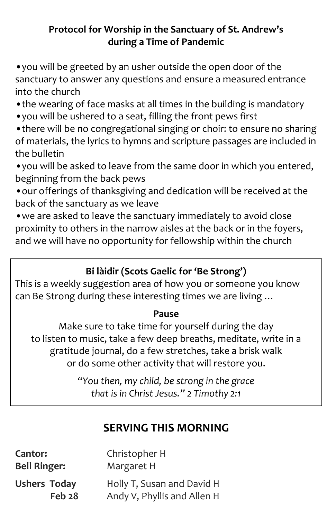#### **Protocol for Worship in the Sanctuary of St. Andrew's during a Time of Pandemic**

•you will be greeted by an usher outside the open door of the sanctuary to answer any questions and ensure a measured entrance into the church

- •the wearing of face masks at all times in the building is mandatory
- •you will be ushered to a seat, filling the front pews first

•there will be no congregational singing or choir: to ensure no sharing of materials, the lyrics to hymns and scripture passages are included in the bulletin

•you will be asked to leave from the same door in which you entered, beginning from the back pews

•our offerings of thanksgiving and dedication will be received at the back of the sanctuary as we leave

•we are asked to leave the sanctuary immediately to avoid close proximity to others in the narrow aisles at the back or in the foyers, and we will have no opportunity for fellowship within the church

#### **Bi làidir (Scots Gaelic for 'Be Strong')**

This is a weekly suggestion area of how you or someone you know can Be Strong during these interesting times we are living …

#### **Pause**

Make sure to take time for yourself during the day to listen to music, take a few deep breaths, meditate, write in a gratitude journal, do a few stretches, take a brisk walk or do some other activity that will restore you.

> *"You then, my child, be strong in the grace that is in Christ Jesus." 2 Timothy 2:1*

## **SERVING THIS MORNING**

| Cantor:                       | Christopher H                                             |
|-------------------------------|-----------------------------------------------------------|
| <b>Bell Ringer:</b>           | Margaret H                                                |
| <b>Ushers Today</b><br>Feb 28 | Holly T, Susan and David H<br>Andy V, Phyllis and Allen H |